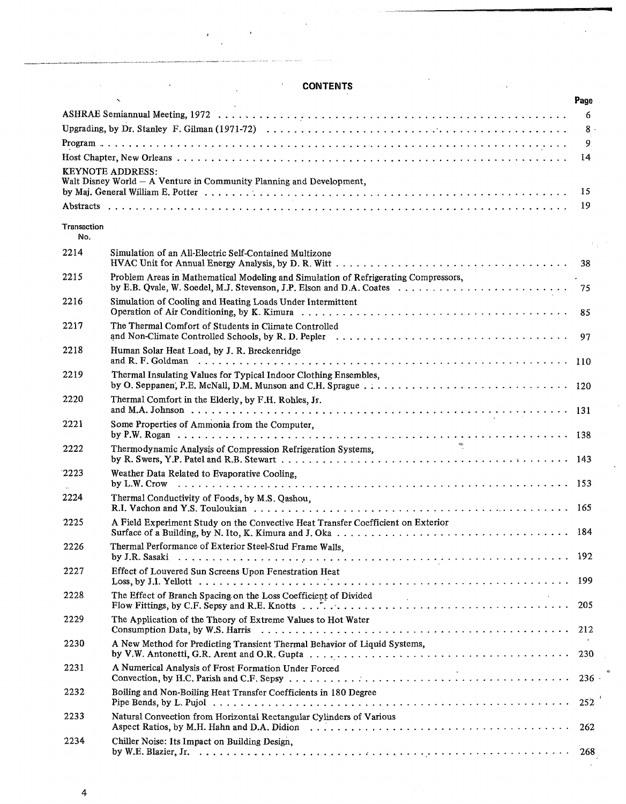|             | $\mathbf{v}$                                                                                                                                                   | Page         |
|-------------|----------------------------------------------------------------------------------------------------------------------------------------------------------------|--------------|
|             |                                                                                                                                                                | 6            |
|             |                                                                                                                                                                | 8.           |
|             |                                                                                                                                                                | 9.           |
|             |                                                                                                                                                                | 14           |
|             | <b>KEYNOTE ADDRESS:</b>                                                                                                                                        |              |
|             | Walt Disney World - A Venture in Community Planning and Development,                                                                                           |              |
|             |                                                                                                                                                                | $15^{\circ}$ |
|             |                                                                                                                                                                | 19           |
| Transaction |                                                                                                                                                                |              |
| No.         |                                                                                                                                                                |              |
| 2214        | Simulation of an All-Electric Self-Contained Multizone                                                                                                         |              |
|             |                                                                                                                                                                | -38          |
| 2215        | Problem Areas in Mathematical Modeling and Simulation of Refrigerating Compressors,                                                                            |              |
| 2216        | Simulation of Cooling and Heating Loads Under Intermittent                                                                                                     | 85           |
| 2217        | The Thermal Comfort of Students in Climate Controlled                                                                                                          |              |
|             |                                                                                                                                                                | 97           |
| 2218        | Human Solar Heat Load, by J. R. Breckenridge<br>and R. F. Goldman (and all contains and all contained a set of the set of the set of the set of the set of the |              |
| 2219        | Thermal Insulating Values for Typical Indoor Clothing Ensembles,                                                                                               |              |
|             |                                                                                                                                                                |              |
| 2220        | Thermal Comfort in the Elderly, by F.H. Rohles, Jr.                                                                                                            |              |
| 2221        | Some Properties of Ammonia from the Computer,                                                                                                                  |              |
|             | $q_{\rm K}$                                                                                                                                                    |              |
| 2222        | Thermodynamic Analysis of Compression Refrigeration Systems,                                                                                                   |              |
| 2223        | Weather Data Related to Evaporative Cooling,                                                                                                                   |              |
|             |                                                                                                                                                                |              |
| 2224        | Thermal Conductivity of Foods, by M.S. Qashou,                                                                                                                 |              |
|             |                                                                                                                                                                |              |
| 2225        | A Field Experiment Study on the Convective Heat Transfer Coefficient on Exterior                                                                               |              |
| 2226        | Thermal Performance of Exterior Steel-Stud Frame Walls.                                                                                                        |              |
| 2227        | Effect of Louvered Sun Screens Upon Fenestration Heat                                                                                                          |              |
|             |                                                                                                                                                                |              |
| 2228        | The Effect of Branch Spacing on the Loss Coefficient of Divided<br><b>Contract Contract</b>                                                                    | 205          |
| 2229        | The Application of the Theory of Extreme Values to Hot Water                                                                                                   |              |
| 2230        | A New Method for Predicting Transient Thermal Behavior of Liquid Systems,                                                                                      |              |
| 2231        | A Numerical Analysis of Frost Formation Under Forced<br>$\sim 10^{-1}$                                                                                         | 236          |
| 2232        | Boiling and Non-Boiling Heat Transfer Coefficients in 180 Degree                                                                                               | 252          |
| 2233        | Natural Convection from Horizontal Rectangular Cylinders of Various                                                                                            | 262          |
| 2234        | Chiller Noise: Its Impact on Building Design,                                                                                                                  |              |
|             |                                                                                                                                                                | 268          |

## **CONTENTS**